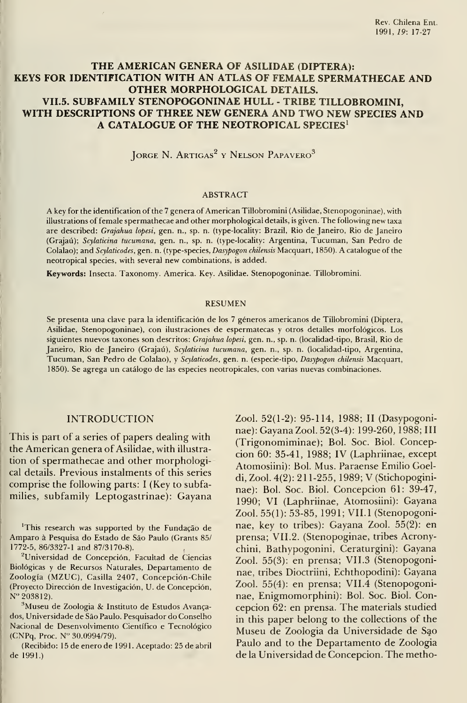# THE AMERICAN GENERA OF ASILIDAE (DÍPTERA): KEYS FOR IDENTIFICATION WITH AN ATLAS OF FEMALE SPERMATHECAE AND OTHER MORPHOLOGICAL DETAILS. VII.5. SUBFAMILY STENOPOGONINAE HULL - TRIBE TILLOBROMINI, WITH DESCRIPTIONS OF THREE NEW GENERA AND TWO NEW SPECIES AND A CATALOGUE OF THE NEOTROPICAL SPECIES<sup>1</sup>

JORGE N. ARTIGAS<sup>2</sup> y Nelson Papavero<sup>3</sup>

#### ABSTRACT

A key for the identification of the <sup>7</sup> genera of American Tillobromini (Asilidae, Stenopogoninae), with illustrations of female spermathecae and other morphological details, is given. The following new taxa are described: Grajahua lopesi, gen. n., sp. n. (type-locality: Brazil, Rio de Janeiro, Rio de Janeiro (Grajaú); Scylaticina tucumana, gen. n., sp. n. (type-locality: Argentina, Tucuman, San Pedro de Colalao); and Scylaticodes, gen. n. (type-species, Dasypogon chilensis Macquart, 1850). A catalogue of the neotropical species, with several new combinations, is added.

Keywords: Insecta. Taxonomy. America. Key. Asilidae. Stenopogoninae. Tillobromini.

#### RESUMEN

Se presenta una clave para la identificación de los 7 géneros americanos de Tillobromini (Díptera, Asilidae, Stenopogoninae), con ilustraciones de espermatecas y otros detalles morfológicos. Los siguientes nuevos taxones son descritos: Grajahua lopesi, gen. n., sp. n. (localidad-tipo, Brasil, Rio de Janeiro, Rio de Janeiro (Grajaú), Scylaticina tucumana, gen. n., sp. n. (localidad-tipo, Argentina, Tucuman, San Pedro de Colalao), <sup>y</sup> Scylaticodes, gen. n. (especie-tipo, Dasypogon chilensis Macquart, 1850). Se agrega un catálogo de las especies neotropicales, con varias nuevas combinaciones.

## INTRODUCTION

This is part of a series of papers dealing with the American genera of Asilidae, with illustration of spermathecae and other morphological details. Previous instalments of this series comprise the following parts: <sup>I</sup> (Key to subfamilies, subfamily Leptogastrinae): Cayana

'This research was supported by the Fundagáo de Amparo à Pesquisa do Estado de São Paulo (Grants 85/ 1772-5, 86/3327-1 and 87/3170-8).

<sup>2</sup>Universidad de Concepción, Facultad de Ciencias Biológicas y de Recursos Naturales, Departamento de Zoología (MZUC), Casilla 2407, Concepción-Chile (Proyecto Dirección de Investigación, U. de Concepción, N" 203812).

<sup>3</sup>Museu de Zoologia & Instituto de Estudos Avançados, Universidade de Sao Paulo. Pesquisador do Conselho Nacional de Desenvolvimento Científico e Tecnológico (CNPq, Proc. N" 30.0994/79).

(Recibido: <sup>1</sup> 5 de enero de <sup>1</sup> 99 <sup>1</sup> . Aceptado: 25 de abril de 1991.)

Zool. 52(1-2): 95-114, 1988; II (Dasypogoninae): Cayana Zool. 52(3-4): 199-260, 1988; III (Trigonomiminae); Bol. Soc. Biol. Concepción 60: 35-41, 1988; IV (Laphriinae, except Atomosiini): Bol. Mus. Paraense Emilio Coeldi, Zool. 4(2): <sup>21</sup> 1-255, 1989; V (Stichopogininae): Bol. Soc. Biol. Concepcion 61: 39-47, 1990; VI (Laphriinae, Atomosiini): Cayana Zool. 55(1): 53-85, 1991; VII.l (Stenopogoninae, key to tribes): Cayana Zool. 55(2): en prensa; VII.2. (Stenopoginae, tribes Acronychini, Bathypogonini, Ceraturgini): Cayana Zool. 55(3): en prensa; VII.3 (Stenopogoninae, tribes Dioctriini, Echthopodini): Cayana Zool. 55(4): en prensa; VII.4 (Stenopogoninae, Enigmomorphini): Bol. Soc. Biol. Concepción 62: en prensa. The materials studied in this paper belong to the collections of the Museu de Zoologia da Universidade de S^o Paulo and to the Departamento de Zoologia de la Universidad de Concepción. The metho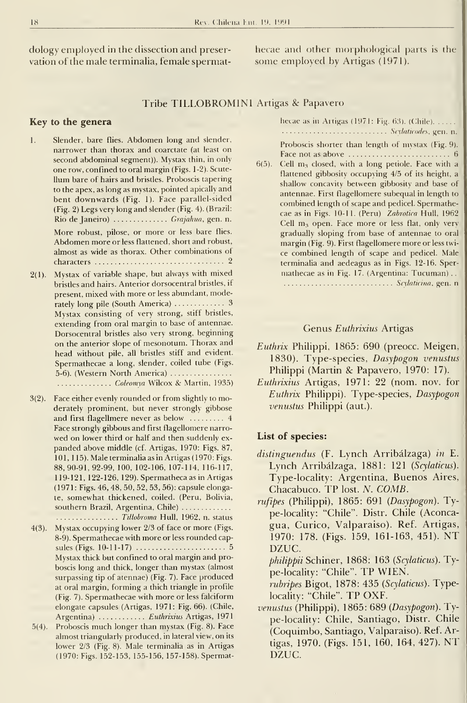dology employed in the dissection and preser vation of the male terminalia, female spermathecae and other morphological parts is the some employed by Artigas (1971).

### Tribe TILLOBROMINI Artigas & Papavero

### Key to the genera

- 1. Slender, bare flies. Abdomen long and slender, narrower than thorax and coarctate (at least on second abdominal segment)). Mystax thin, in only one row, confined to oral margin (Figs. 1-2). Scute- Uum bare of hairs and bristles. Proboscis tapering to the apex, as long as mystax, pointed apically and bent downwards (Fig. 1). Face parallel-sided (Fig. 2) Legs very long and slender (Fig. 4). (Brazil: Rio de Janeiro) .............. Grajahua, gen. n. More robust, pilose, or more or less bare flies. Abdomen more or less flattened, short and robust, almost as wide as thorax. Other combinations of characters 2
- 2(1). Mystax of variable shape, but always with mixed bristles and hairs. Anterior dorsocentral brisdes, if present, mixed with more or less abundant, moderately long pile (South America) 3 Mystax consisting of very strong, stiff bristles, extending from oral margin to base of antennae. Dorsocentral brisdes also very strong, beginning on the anterior slope of mesonotum. Thorax and head without pile, all brisdes stiff and evident. Spermathecae a long, slender, coiled tube (Figs. 5-6). (Western North America) .............. Coleomya Wilcox & Martin, 1935)
- 3(2). Face either evenly rounded or from slightly to moderately prominent, but never strongly gibbose and first flagellmere never as below ......... 4 Face strongly gibbous and first flagellomere narro wed on lower third or half and then suddenly ex panded above middle (cf. Artigas, 1970: Figs. 87, 101, <sup>1</sup> 15). Male terminalia as in Artigas (1970: Figs. 88,90-91,92-99, 100, 102-106, 107-114, 116-117, <sup>1</sup> <sup>1</sup> 9- <sup>1</sup> 2 <sup>1</sup> , <sup>1</sup> 22- <sup>1</sup> 26, <sup>1</sup> 29). Spermatheca as in Artigas (1971: Figs. 46, 48, 50, 52, 53, 56): capsule elongate, somewhat thickened, coiled. (Peru, Bolivia, southern Brazil, Argentina, Chile) ............. ................ Tillobroma Hull, 1962, n. status
- 4(3). Mystax occupying lower 2/3 of face or more (Figs. 8-9). Spermathecae with more or less rounded capsules (Figs.  $10-11-17$ )  $\ldots$   $\ldots$   $\ldots$   $\ldots$   $\ldots$  5 Mystax thick but confined to oral margin and proboscis long and thick, longer than mystax (almost surpassing tip of atennae) (Fig. 7). Face produced at oral margin, forming a thich triangle in profile (Fig. 7). Spermathecae with more or less falciform elongate capsules (Artigas, 1971: Fig. 66). (Chile, Argentina) ............ Euthrixius Artigas, 1971
- 5(4). Proboscis much longer than mystax (Fig. 8). Face almost triangularly produced, in lateral view, on its lower 2/3 (Fig. 8). Male terminalia as in Artigas (1970: Figs. 152-153, 155-156, 157-158). Spermat-

hecae as in Artigas (1971: Fig.  $63$ ). (Chile). ..... Seylaticodes, gen. n.

Proboscis shorter than length of mystax (Fig. 9). Face not as above  $\dots\dots\dots\dots\dots\dots\dots\dots$  6

6(5). Cell  $m_3$  closed, with a long petiole. Face with a flattened gibbosity occupying 4/5 of its height, a shallow concavity between gibbosity and base of antennae. First flagellomere subequal in length to combined length of scape and pedicel. Spermathecae as in Figs. 10-11. (Peru) Zabrotica Hull, 1962 Cell  $m_3$  open. Face more or less flat, only very gradually sloping from base of antennae to oral margin (Fig. 9). First flagellomere more or less twi ce combined length of scape and pedicel. Male terminalia and aedeagus as in Figs. 12-16. Sper mathecae as in Fig. 17. (Argentina: Tucuman) . .

subsequent in the set of the set of the set of the set of the set of the set of the set of the set of the set o

### Genus Euthrixius Artigas

- Euthrix Philippi, 1865: 690 (preocc. Meigen, 1830). Type-species, Dasypogon venustus Philippi (Martin & Papavero, 1970: 17).
- Euthrixius Artigas, 1971: 22 (nom. nov. for Euthrix Philippi). Type-species, Dasypogon venustus Philippi (aut.).

#### List of species:

- distinguendus (F. Lynch Arribálzaga) in E. Lynch Arribálzaga, 1881: 121 (Scylaticus). Type-locality: Argentina, Buenos Aires, Chacabuco. TP lost. N. COMB.
- rufipes (Philippi), 1865: 691 (Dasypogon). Type-locality: "Chile". Distr. Chile (Aconcagua, Curico, Valparaiso). Ref. Artigas, 1970: 178. (Figs. 159, 161-163, 451). NT DZUC.

philippii Schiner, 1868: 163 (Scylaticus). Type-locality: "Chile". TP WIEN.

rubripes Bigot, 1878: 435 (Scylaticus). Typelocality: "Chile". TP OXF.

venustus (Philippi), 1865: 689 (Dasypogon). Type-locality: Chile, Santiago, Distr. Chile (Coquimbo, Santiago, Valparaiso). Ref. Artigas, 1970. (Figs. 151, 160, 164, 427). NT DZUC.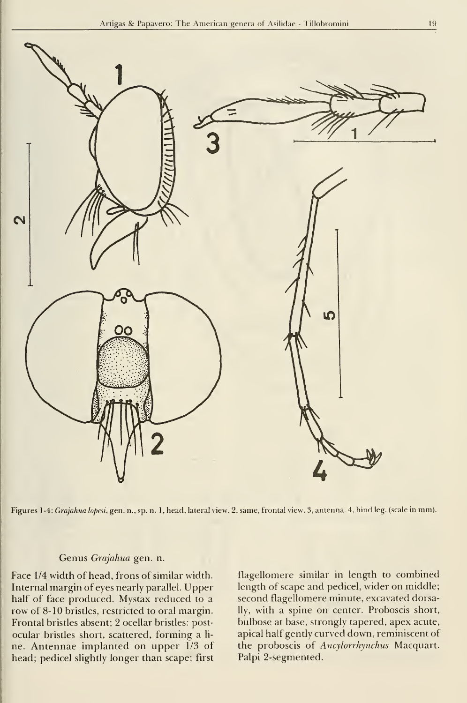

Figures 1-4: Grajahua lopesi, gen. n., sp. n. <sup>1</sup> ,head, lateral view. 2, same, frontal view. 3, antenna. 4, hind leg. (scale in mm).

### Genus Grajahua gen. n.

Face 1/4 width of head, frons of similar width. Internal margin of eyes nearly parallel. Upper half of face produced. Mystax reduced to a row of 8-10 bristles, restricted to oral margin. Frontal bristles absent; 2 ocellar bristles: postocular bristles short, scattered, forming a li ne. Antennae implanted on upper 1/3 of head; pedicel slightly longer than scape; first

flagellomere similar in length to combined length of scape and pedicel, wider on middle; second flagellomere minute, excavated dorsally, with a spine on center. Proboscis short, bulbose at base, strongly tapered, apex acute, apical half gently curved down, reminiscent of the proboscis of Ancylorrhynchus Macquart. Palpi 2-segmented.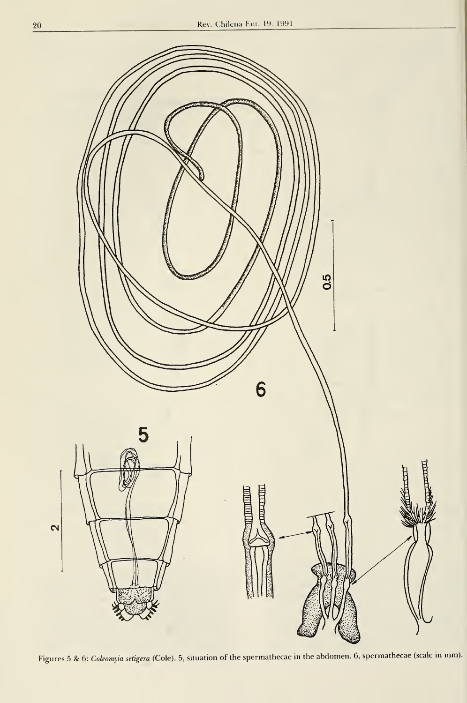

Figures 5 & 6: Coleomyia setigera (Cole). 5, situation of the spermathecae in the abdomen. 6, spermathecae (scale in mm).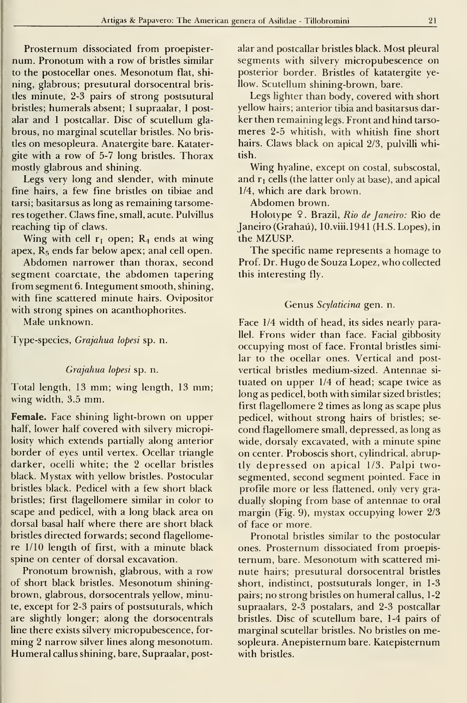Prosternum dissociated from proepister num. Pronotum with a row of brisdes similar to the postocellar ones. Mesonotum flat, shi ning, glabrous; presutural dorsocentral bris des minute, 2-3 pairs of strong postsutural brisdes; humerals absent; <sup>1</sup> supraalar, <sup>1</sup> postalar and <sup>1</sup> postcallar. Disc of scutellum glabrous, no marginal scutellar bristles. No bristles on mesopleura. Anatergite bare. Katatergite with a row of 5-7 long bristles. Thorax mostly glabrous and shining.

Legs very long and slender, with minute fine hairs, a few fine bristles on tibiae and tarsi; basitarsus as long as remaining tarsomeres together. Claws fine, small, acute. Pulvillus reaching tip of claws.

Wing with cell  $r_1$  open;  $R_4$  ends at wing apex,  $R_5$  ends far below apex; anal cell open.

Abdomen narrower than thorax, second segment coarctate, the abdomen tapering from segment 6. Integument smooth, shining, with fine scattered minute hairs. Ovipositor with strong spines on acanthophorites.

Male unknown.

Type-species, Grajahua lopesi sp. n.

#### Grajahua lopesi sp. n.

Total length, <sup>13</sup> mm; wing length, <sup>13</sup> mm; wing width, 3.5 mm.

Female. Face shining light-brown on upper half, lower half covered with silvery micropilosity which extends partially along anterior border of eyes until vertex. Ocellar triangle darker, ocelli white; the 2 ocellar bristles black. Mystax with yellow bristles. Postocular bristles black. Pedicel with a few short black bristles; first fiagellomere similar in color to scape and pedicel, with a long black area on dorsal basal half where there are short black bristles directed forwards; second fiagellomere 1/10 length of first, with a minute black spine on center of dorsal excavation.

Pronotum brownish, glabrous, with a row of short black bristles. Mesonotum shiningbrown, glabrous, dorsocentrals yellow, minute, except for 2-3 pairs of postsuturals, which are slightly longer; along the dorsocentrals line there exists silvery micropubescence, for ming 2 narrow silver lines along mesonotum. Humeral callus shining, bare, Supraalar, postalar and postcallar bristles black. Most pleural segments with silvery micropubescence on posterior border. Bristles of katatergite yellow. Scutellum shining-brown, bare.

Legs lighter than body, covered with short yellow hairs; anterior tibia and basitarsus darker then remaining legs. Front and hind tarso meres 2-5 whitish, with whitish fine short hairs. Claws black on apical 2/3, pulvilli whitish.

Wing hyaline, except on costal, subscostal, and  $r_1$  cells (the latter only at base), and apical 1/4, which are dark brown.

Abdomen brown.

Holotype 9. Brazil, Rio de Janeiro: Rio de Janeiro (Grahaú), 10.viii.l941 (H.S. Lopes), in the MZUSP.

The specific name represents a homage to Prof. Dr. Hugo de Souza Lopez, who collected this interesting fly.

### Genus Scylaticina gen. n.

Face 1/4 width of head, its sides nearly parallel. Frons wider than face. Facial gibbosity occupying most of face. Frontal bristles similar to the ocellar ones. Vertical and postvertical bristles medium-sized. Antennae si tuated on upper 1/4 of head; scape twice as long as pedicel, both with similar sized bristles; first fiagellomere 2 times as long as scape plus pedicel, without strong hairs of bristles; se cond fiagellomere small, depressed, as long as wide, dorsaly excavated, with a minute spine on center. Proboscis short, cylindrical, abruptly depressed on apical 1/3. Palpi twosegmented, second segment pointed. Face in profile more or less fiattened, only very gra dually sloping from base of antennae to oral margin (Fig. 9), mystax occupying lower 2/3 of face or more.

Pronotal bristles similar to the postocular ones. Prosternum dissociated from proepisternum, bare. Mesonotum with scattered minute hairs; presutural dorsocentral bristles short, indistinct, postsuturals longer, in 1-3 pairs; no strong bristles on humeral callus, 1-2 supraalars, 2-3 postalars, and 2-3 postcallar bristles. Disc of scutellum bare, 1-4 pairs of marginal scutellar bristles. No bristles on mesopleura. Anepisternum bare. Katepisternum with bristles.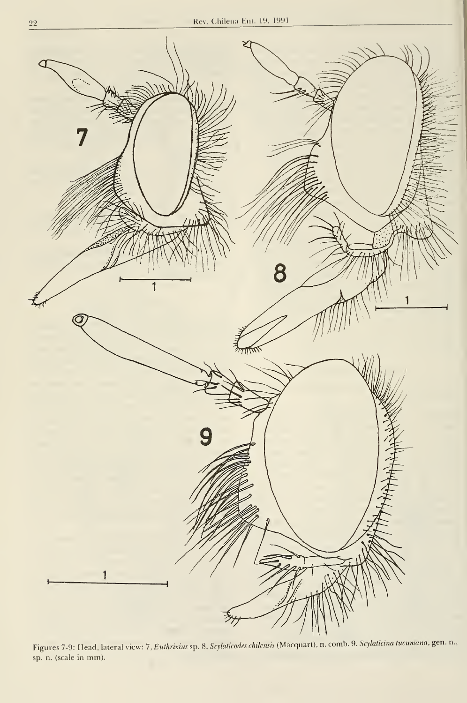

Figures 7-9: Head, lateral view: 7, Euthrixius sp. 8, Scylaticodes chilensis (Macquart), n. comb. 9, Scylaticina tucumana, gen. n., sp. n. (scale in mm).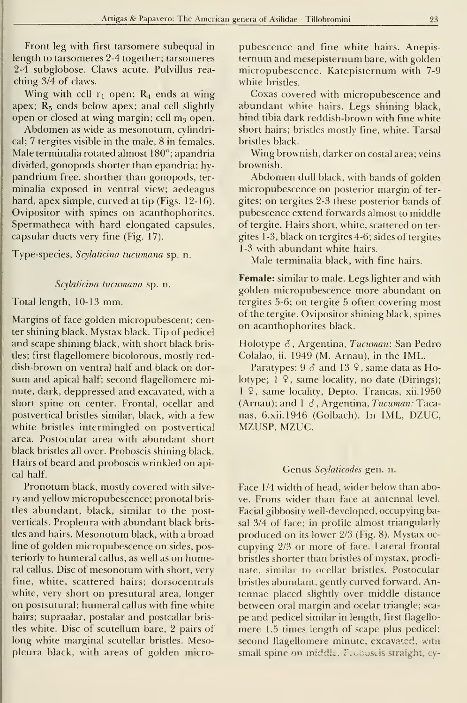Front leg with first tarsomere subequal in length to tarsomeres 2-4 together; tarsomeres 2-4 subglobose. Claws acute. Pulvillus rea ching 3/4 of claws.

Wing with cell  $r_1$  open;  $R_4$  ends at wing apex;  $R_5$  ends below apex; anal cell slightly open or closed at wing margin; cell  $m_3$  open.

Abdomen as wide as mesonotum, cylindrical; 7 tergites visible in the male, 8 in females. Male terminalia rotated almost 180°; apandria divided, gonopods shorter than epandria; hypandrium free, shorther than gonopods, ter minalia exposed in ventral view; aedeagus hard, apex simple, curved at tip (Figs. 12-16). Ovipositor with spines on acanthophorites. Spermatheca with hard elongated capsules, capsular ducts very fine (Fig. 17).

Type-species, Scylaticina tucumana sp. n.

#### Scylaticina tucumana sp. n.

# Total length, 10-13 mm.

Margins of face golden micropubescent; center shining black. Mystax black. Tip of pedicel and scape shining black, with short black bristles; first flagellomere bicolorous, mostly reddish-brown on ventral half and black on dor sum and apical half; second flagellomere minute, dark, deppressed and excavated, with a short spine on center. Frontal, ocellar and postvertical bristles similar, black, with a few white bristles intermingled on postvertical área. Postocular área with abundant short black bristles all over. Proboscis shining black. Hairs of beard and proboscis wrinkled on apical half.

Pronotum black, mostly covered with silve ry and yellow micropubescence; pronotal bristles abundant, black, similar to the postverticals. Propleura with abundant black bristles and hairs. Mesonotum black, with a broad line of golden micropubescence on sides, posteriorly to humeral callus, as well as on humeral callus. Disc of mesonotum with short, very fine, white, scattered hairs; dorsocentrals white, very short on presutural área, longer on postsutural; humeral callus with fine white hairs; supraalar, postalar and postcallar bristles white. Disc of scutellum bare, 2 pairs of long white marginal scutellar bristles. Mesopleura black, with areas of golden micropubescence and fine white hairs. Anepisternum and mesepisternum bare, with golden micropubescence. Katepisternum with 7-9 white bristles.

Coxas covered with micropubescence and abundant white hairs. Legs shining black, hind tibia dark reddish-brown with fine white short hairs; bristles mostly fine, white. Tarsal bristles black.

Wing brownish, darker on costal area; veins brownish.

Abdomen dull black, with bands of golden micropubescence on posterior margin of tergites; on tergites 2-3 these posterior bands of pubescence extend forwards almost to middle of tergite. Hairs short, white, scattered on ter gites 1-3, black on tergites 4-6; sides of tergites 1-3 with abundant white hairs.

Male terminalia black, with fine hairs.

Female: similar to male. Legs lighter and with golden micropubescence more abundant on tergites 5-6; on tergite 5 often covering most of the tergite. Ovipositor shining black, spines on acanthophorites black.

Holotype  $\delta$ , Argentina, Tucuman: San Pedro Colalao, ii. 1949 (M. Arnau), in the IML.

Paratypes:  $9 \delta$  and  $13 \delta$ , same data as Holotype; 1<sub>9</sub>, same locality, no date (Dirings); <sup>1</sup> 9, same locality, Depto. Trancas, xii.1950 (Arnau); and  $1 \delta$ , Argentina, Tucuman: Tacanas, 6.XÍÍ.1946 (Golbach). In IML, DZUC, MZUSP, MZUC.

### Genus Scylaticodes gen. n.

Face 1/4 width of head, wider below than above. Frons wider than face at antennal level. Facial gibbosity well-developed, occupying basal 3/4 of face; in profile almost triangularly produced on its lower 2/3 (Fig. 8). Mystax oc cupying 2/3 or more of face. Lateral frontal bristles shorter than bristles of mystax, proclinate, similar to ocellar bristles. Postocular bristles abundant, gently curved forward. Antennae placed slightly over middle distance between oral margin and ocelar triangle; sca pe and pedicel similar in length, first flagello mere 1.5 times length of scape plus pedicel; second flagellomere minute, excavated, witn small spine on middle. Froboscis straight, cy-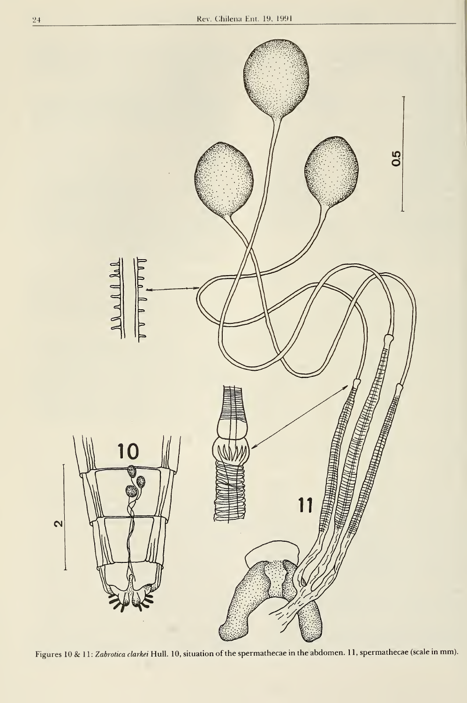

Figures 10 & 11: Zabrotica clarkei Hull. 10, situation of the spermathecae in the abdomen. 11, spermathecae (scale in mm).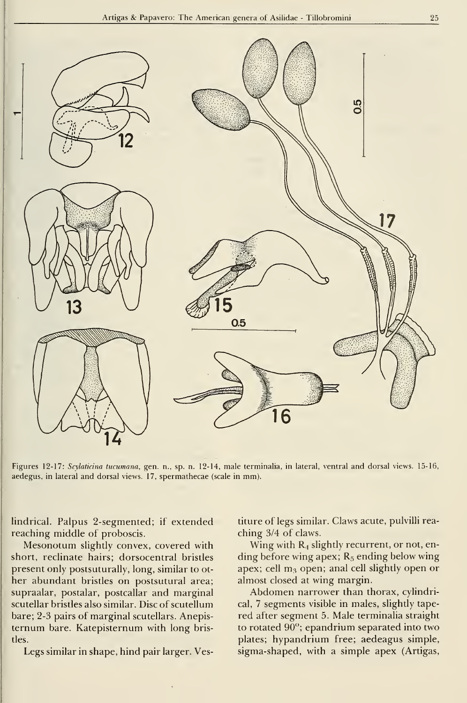

Figures 12-17: Scylaticina tucumana, gen. n., sp. n. 12-14, male terminaiia, in lateral, ventral and dorsal views. 15-16, aedegus, in lateral and dorsal views. 17, spermathecae (scale in mm).

lindrical. Palpus 2-segmented; if extended reaching middle of proboscis.

Mesonotum slighdy convex, covered with short, reclinate hairs; dorsocentral brisdes present only postsuturally, long, similar to ot her abundant bristles on postsutural area; supraalar, postalar, postcallar and marginal scutellar bristles also similar. Disc of scutellum bare; 2-3 pairs of marginal scutellars. Anepisternum bare. Katepisternum with long bristles.

Legs similar in shape, hind pair larger. Ves-

titure of legs similar. Claws acute, pulvilli rea ching 3/4 of claws.

Wing with  $R_4$  slightly recurrent, or not, ending before wing apex;  $R_5$  ending below wing apex; cell  $m_3$  open; anal cell slightly open or almost closed at wing margin.

Abdomen narrower than thorax, cylindrical, 7 segments visible in males, slightly tapered after segment 5. Male terminaiia straight to rotated  $90^\circ$ ; epandrium separated into two plates; hypandrium free; aedeagus simple, sigma-shaped, with a simple apex (Artigas,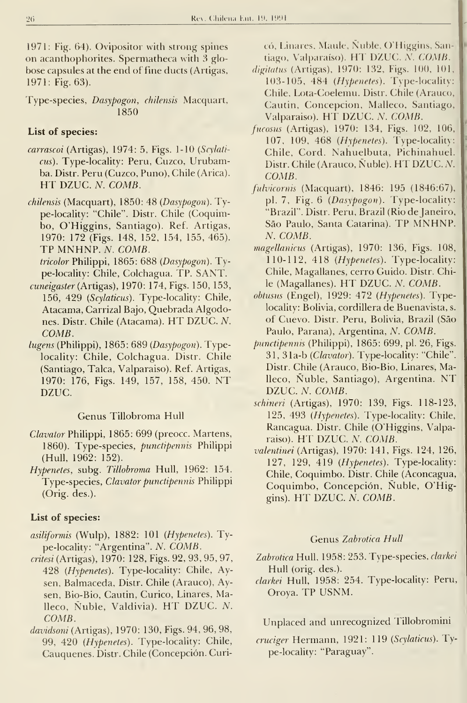1971: Fig. 64). Ovipositor with strong spines on acanthophorites. Spermatheca with 3 globose capsules at the end of fine ducts (Artigas, 1971: Fig. 63).

Type-species, Dasypogon, chilensis Macquart, 1850

# List of species:

- carrascoi (Artigas), 1974: 5, Figs. 1-10 {Scylati cus). Type-locality: Peru, Cuzco, Urubamba. Distr. Perú (Cuzco, Puno), Chile (Arica). HT DZUC. N. COMB.
- chilensis (Macquart), 1850: 48 (Dasypogon). Type-locality: "Chile". Distr. Chile (Coquimbo, O'Higgins, Santiago). Ref. Artigas, 1970: 172 (Figs. 148, 152, 154, 155, 465). TP MNHNP. N. COMB.
	- tricolor Philippi, 1865: 688 (Dasypogon). Type-locality: Chile, Colchagua. TP. SANT.
- cuneigaster (Artigas), 1970: 174, Figs. 150, 153, 156, 429 (Scylaticus). Type-locality: Chile, Atacama, Carrizal Bajo, Quebrada Algodones. Distr. Chile (Atacama). HT DZUC. N. COMB.
- lugens (Philippi), 1865: 689 (Dasypogon). Typelocality: Chile, Colchagua. Distr. Chile (Santiago, Talca, Valparaíso). Ref. Artigas, 1970: 176, Figs. 149, 157, 158, 450. NT DZUC.

## Genus Tillobroma Hull

- Clavator Philippi, 1865: 699 (preocc. Martens, 1860). Type-species, punctipennis Philippi (Hull, 1962: 152).
- Hypenetes, subg. Tillobroma Hull, 1962: 154. Type-species, Clavator punctipennis Philippi (Orig. des.).

# List of species:

- asiliformis (Wulp), 1882: 101 (Hypenetes). Type-locality: "Argentina". N. COMB.
- critesi (Artigas), 1970: 128, Figs. 92, 93, 95, 97, 428 (Hypenetes). Type-locality: Chile, Aysen, Balmaceda, Distr. Chile (Arauco), Aysen, Bio-Bio, Cautin, Curico, Linares, Malleco. Nuble, Valdivia). HT DZUC. A^. COMB.
- davídsoni (Artigas), 1970: 130, Figs. 94, 96, 98, 99, 420 (Hypenetes). Type-locality: Chile, Cauquenes. Distr. Chile (Concepción. Cun-

eó, Linares, Maule, Nuble, O'Higgins, Santiago, Valparaíso). HT DZUC. N. COMB.

- digitatus (Artigas), 1970: 132, Figs. 100, 101, 103-105, 484 (Hypenetes). Type-locality: Chile, Lota-Coelemu. Distr. Chile (Arauco, Cautin, Concepción, Malleco, Santiago, Valparaíso). HT DZUC. N. COMB.
- fucosus (Artigas), 1970: 134, Figs. 102, 106, 107, 109, 468 (Hypenetes). Type-locality: Chile, Cord. Nahuelbuta, Pichinahuel. Distr. Chile (Arauco, Ñuble). HT DZUC. N. COMB.
- fulvicornis (Macquart), 1846: 195 (1846:67), pl. 7, Fig. 6 (Dasypogon). Type-locality: "Brazil". Distr. Perú, Brazil (Rio de Janeiro, Sao Paulo, Santa Catarina). TP MNHNP. N. COMB.
- magellanicus (Artigas), 1970: 136, Figs. 108, 110-112, 418 (Hypenetes). Type-locality: Chile, Magallanes, cerro Guido. Distr. Chile (Magallanes). HT DZUC. N. COMB.
- obtusus (Engel), 1929: 472 (Hypenetes). Typelocality: Bolivia, cordillera de Buenavista, s. of Cuevo. Distr. Perú, Bolivia, Brazil (Sao Paulo, Parana), Argentina, N. COMB.
- punctipennis (Philippi), 1865: 699, pl. 26, Figs. 31, 31a-b (Clavator). Type-locality: "Chile". Distr. Chile (Arauco, Bio-Bio, Linares, Malleco, Nuble, Santiago), Argentina. NT DZUC. N. COMB.
- schineri (Artigas), 1970: 139, Figs. 118-123, 125, 493 (Hypenetes). Type-locality: Chile, Rancagua. Distr. Chile (O'Higgins, Valpa-'raiso). HT DZUC. N. COMB.
- valentinei (Artigas), 1970: 141, Figs. 124, 126, 127, 129, 419 (Hypenetes). Type-locality: Chile, Coquimbo. Distr. Chile (Aconcagua, Coquimbo, Concepción, Nuble, O'Higgins). HT DZUC. N. COMB.

## Genus Zabrotica Hull

- Zabrotica Hull, 1958: 253. Type-species, clarkei Hull (orig. des.).
- clarkei Hull, 1958: 254. Type-locality: Peru, Oroya. TP USNM.

## Unplaced and unrecognized Tillobromini

cruciger Hermann, 1921: 119 (Scylaticus). Type-locality: "Paraguay".